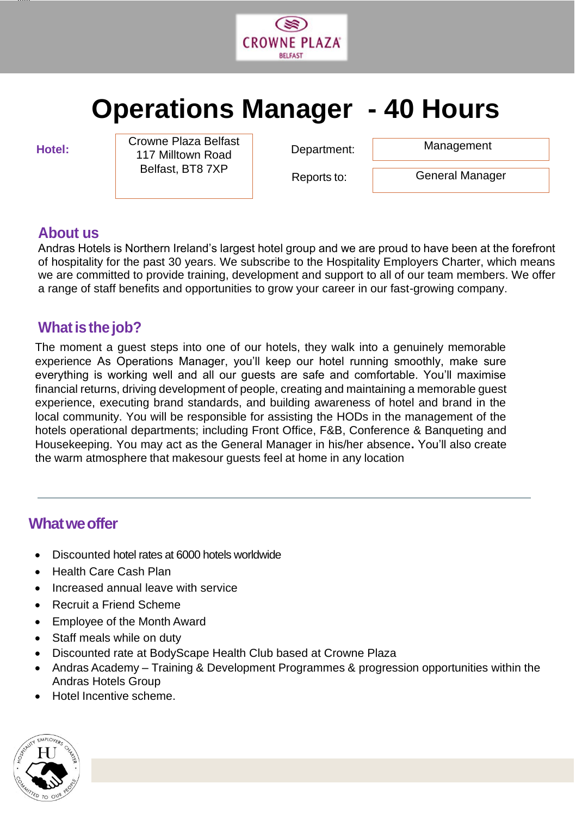

# **Operations Manager - 40 Hours**

jjjjjj

**Hotel:** Department: Crowne Plaza Belfast **Crowne Plaza Belfast** 117 Milltown Road Belfast, BT8 7XP

Reports to:

General Manager

# **About us**

Andras Hotels is Northern Ireland's largest hotel group and we are proud to have been at the forefront of hospitality for the past 30 years. We subscribe to the Hospitality Employers Charter, which means we are committed to provide training, development and support to all of our team members. We offer a range of staff benefits and opportunities to grow your career in our fast-growing company.

# **What is the job?**

The moment a guest steps into one of our hotels, they walk into a genuinely memorable experience As Operations Manager, you'll keep our hotel running smoothly, make sure everything is working well and all our guests are safe and comfortable. You'll maximise financial returns, driving development of people, creating and maintaining a memorable guest experience, executing brand standards, and building awareness of hotel and brand in the local community. You will be responsible for assisting the HODs in the management of the hotels operational departments; including Front Office, F&B, Conference & Banqueting and Housekeeping. You may act as the General Manager in his/her absence**.** You'll also create the warm atmosphere that makesour guests feel at home in any location

# **What we offer**

- Discounted hotel rates at 6000 hotels worldwide
- Health Care Cash Plan
- Increased annual leave with service
- Recruit a Friend Scheme
- Employee of the Month Award
- Staff meals while on duty
- Discounted rate at BodyScape Health Club based at Crowne Plaza
- Andras Academy Training & Development Programmes & progression opportunities within the Andras Hotels Group
- Hotel Incentive scheme.

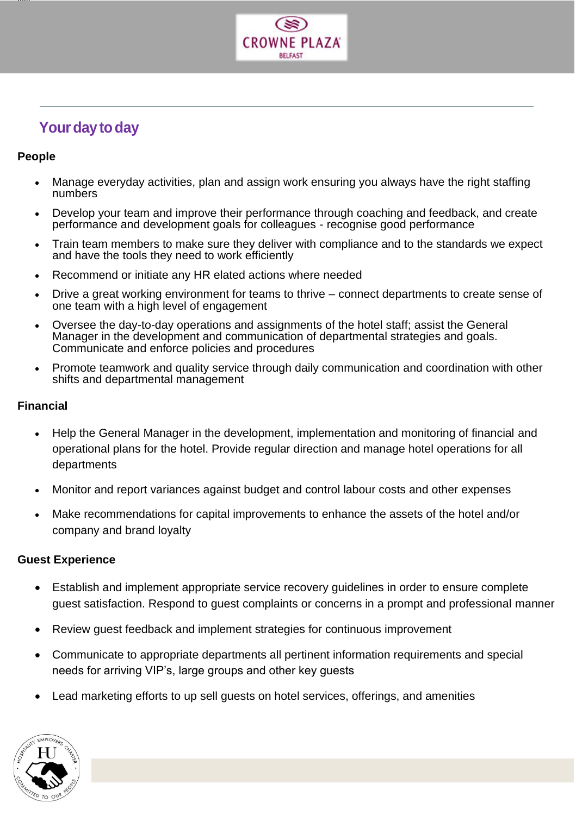

# **Your day to day**

### **People**

jjjjjj

- Manage everyday activities, plan and assign work ensuring you always have the right staffing numbers
- Develop your team and improve their performance through coaching and feedback, and create performance and development goals for colleagues - recognise good performance
- Train team members to make sure they deliver with compliance and to the standards we expect and have the tools they need to work efficiently
- Recommend or initiate any HR elated actions where needed
- Drive a great working environment for teams to thrive connect departments to create sense of one team with a high level of engagement
- Oversee the day-to-day operations and assignments of the hotel staff; assist the General Manager in the development and communication of departmental strategies and goals. Communicate and enforce policies and procedures
- Promote teamwork and quality service through daily communication and coordination with other shifts and departmental management

#### **Financial**

- Help the General Manager in the development, implementation and monitoring of financial and operational plans for the hotel. Provide regular direction and manage hotel operations for all departments
- Monitor and report variances against budget and control labour costs and other expenses
- Make recommendations for capital improvements to enhance the assets of the hotel and/or company and brand loyalty

#### **Guest Experience**

- Establish and implement appropriate service recovery guidelines in order to ensure complete guest satisfaction. Respond to guest complaints or concerns in a prompt and professional manner
- Review guest feedback and implement strategies for continuous improvement
- Communicate to appropriate departments all pertinent information requirements and special needs for arriving VIP's, large groups and other key guests
- Lead marketing efforts to up sell guests on hotel services, offerings, and amenities

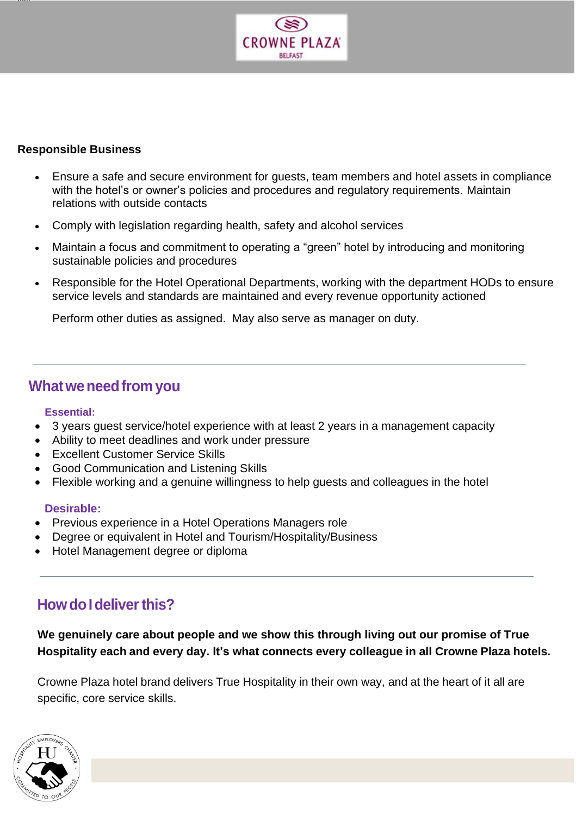

#### **Responsible Business**

jjjjjj

- Ensure a safe and secure environment for guests, team members and hotel assets in compliance with the hotel's or owner's policies and procedures and regulatory requirements. Maintain relations with outside contacts
- Comply with legislation regarding health, safety and alcohol services
- Maintain a focus and commitment to operating a "green" hotel by introducing and monitoring sustainable policies and procedures
- Responsible for the Hotel Operational Departments, working with the department HODs to ensure service levels and standards are maintained and every revenue opportunity actioned

• Perform other duties as assigned. May also serve as manager on duty.

# **Whatweneedfrom you**

#### **Essential:**

- 3 years guest service/hotel experience with at least 2 years in a management capacity
- Ability to meet deadlines and work under pressure
- **Excellent Customer Service Skills**
- Good Communication and Listening Skills
- Flexible working and a genuine willingness to help guests and colleagues in the hotel

#### **Desirable:**

- Previous experience in a Hotel Operations Managers role
- Degree or equivalent in Hotel and Tourism/Hospitality/Business
- Hotel Management degree or diploma

# **How do I deliver this?**

**We genuinely care about people and we show this through living out our promise of True Hospitality each and every day. It's what connects every colleague in all Crowne Plaza hotels.**

Crowne Plaza hotel brand delivers True Hospitality in their own way, and at the heart of it all are specific, core service skills.